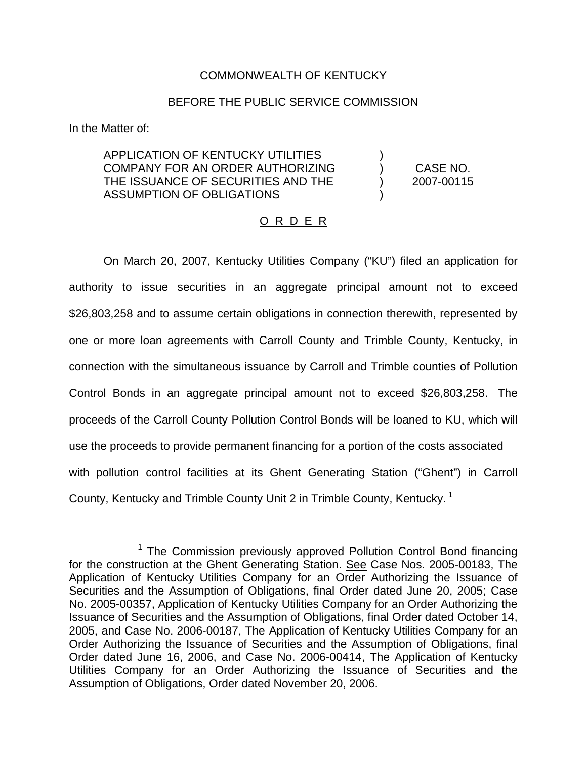# COMMONWEALTH OF KENTUCKY

# BEFORE THE PUBLIC SERVICE COMMISSION

In the Matter of:

### APPLICATION OF KENTUCKY UTILITIES ) COMPANY FOR AN ORDER AUTHORIZING ) CASE NO. THE ISSUANCE OF SECURITIES AND THE ) 2007-00115 ASSUMPTION OF OBLIGATIONS )

# O R D E R

On March 20, 2007, Kentucky Utilities Company ("KU") filed an application for authority to issue securities in an aggregate principal amount not to exceed \$26,803,258 and to assume certain obligations in connection therewith, represented by one or more loan agreements with Carroll County and Trimble County, Kentucky, in connection with the simultaneous issuance by Carroll and Trimble counties of Pollution Control Bonds in an aggregate principal amount not to exceed \$26,803,258. The proceeds of the Carroll County Pollution Control Bonds will be loaned to KU, which will use the proceeds to provide permanent financing for a portion of the costs associated with pollution control facilities at its Ghent Generating Station ("Ghent") in Carroll County, Kentucky and Trimble County Unit 2 in Trimble County, Kentucky. <sup>1</sup>

 $1$  The Commission previously approved Pollution Control Bond financing for the construction at the Ghent Generating Station. See Case Nos. 2005-00183, The Application of Kentucky Utilities Company for an Order Authorizing the Issuance of Securities and the Assumption of Obligations, final Order dated June 20, 2005; Case No. 2005-00357, Application of Kentucky Utilities Company for an Order Authorizing the Issuance of Securities and the Assumption of Obligations, final Order dated October 14, 2005, and Case No. 2006-00187, The Application of Kentucky Utilities Company for an Order Authorizing the Issuance of Securities and the Assumption of Obligations, final Order dated June 16, 2006, and Case No. 2006-00414, The Application of Kentucky Utilities Company for an Order Authorizing the Issuance of Securities and the Assumption of Obligations, Order dated November 20, 2006.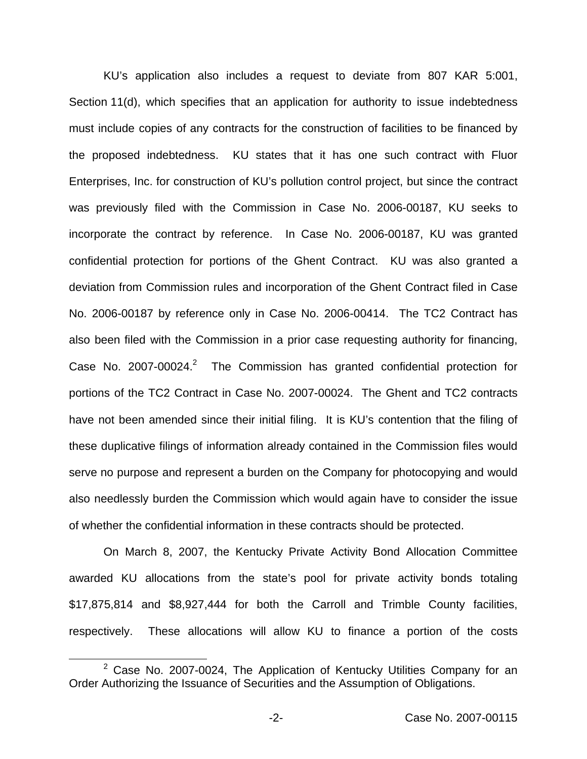KU's application also includes a request to deviate from 807 KAR 5:001, Section 11(d), which specifies that an application for authority to issue indebtedness must include copies of any contracts for the construction of facilities to be financed by the proposed indebtedness. KU states that it has one such contract with Fluor Enterprises, Inc. for construction of KU's pollution control project, but since the contract was previously filed with the Commission in Case No. 2006-00187, KU seeks to incorporate the contract by reference. In Case No. 2006-00187, KU was granted confidential protection for portions of the Ghent Contract. KU was also granted a deviation from Commission rules and incorporation of the Ghent Contract filed in Case No. 2006-00187 by reference only in Case No. 2006-00414. The TC2 Contract has also been filed with the Commission in a prior case requesting authority for financing, Case No. 2007-00024.<sup>2</sup> The Commission has granted confidential protection for portions of the TC2 Contract in Case No. 2007-00024. The Ghent and TC2 contracts have not been amended since their initial filing. It is KU's contention that the filing of these duplicative filings of information already contained in the Commission files would serve no purpose and represent a burden on the Company for photocopying and would also needlessly burden the Commission which would again have to consider the issue of whether the confidential information in these contracts should be protected.

On March 8, 2007, the Kentucky Private Activity Bond Allocation Committee awarded KU allocations from the state's pool for private activity bonds totaling \$17,875,814 and \$8,927,444 for both the Carroll and Trimble County facilities, respectively. These allocations will allow KU to finance a portion of the costs

 $2$  Case No. 2007-0024, The Application of Kentucky Utilities Company for an Order Authorizing the Issuance of Securities and the Assumption of Obligations.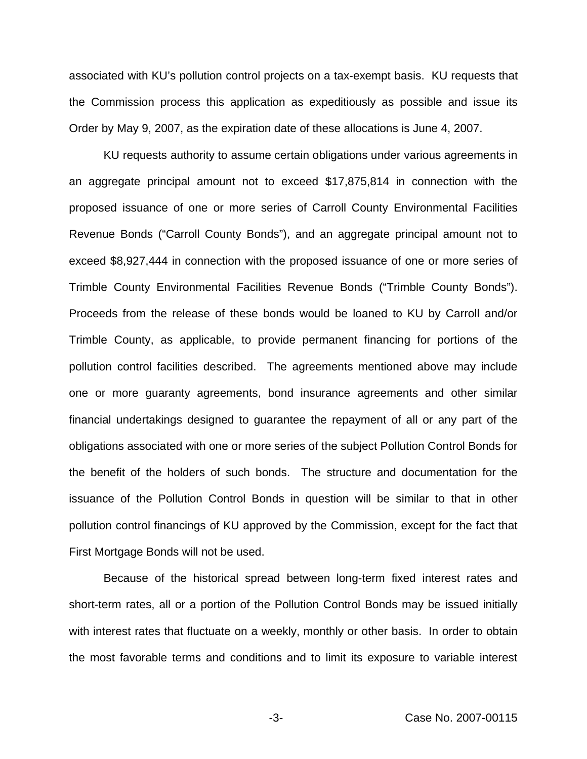associated with KU's pollution control projects on a tax-exempt basis. KU requests that the Commission process this application as expeditiously as possible and issue its Order by May 9, 2007, as the expiration date of these allocations is June 4, 2007.

KU requests authority to assume certain obligations under various agreements in an aggregate principal amount not to exceed \$17,875,814 in connection with the proposed issuance of one or more series of Carroll County Environmental Facilities Revenue Bonds ("Carroll County Bonds"), and an aggregate principal amount not to exceed \$8,927,444 in connection with the proposed issuance of one or more series of Trimble County Environmental Facilities Revenue Bonds ("Trimble County Bonds"). Proceeds from the release of these bonds would be loaned to KU by Carroll and/or Trimble County, as applicable, to provide permanent financing for portions of the pollution control facilities described. The agreements mentioned above may include one or more guaranty agreements, bond insurance agreements and other similar financial undertakings designed to guarantee the repayment of all or any part of the obligations associated with one or more series of the subject Pollution Control Bonds for the benefit of the holders of such bonds. The structure and documentation for the issuance of the Pollution Control Bonds in question will be similar to that in other pollution control financings of KU approved by the Commission, except for the fact that First Mortgage Bonds will not be used.

Because of the historical spread between long-term fixed interest rates and short-term rates, all or a portion of the Pollution Control Bonds may be issued initially with interest rates that fluctuate on a weekly, monthly or other basis. In order to obtain the most favorable terms and conditions and to limit its exposure to variable interest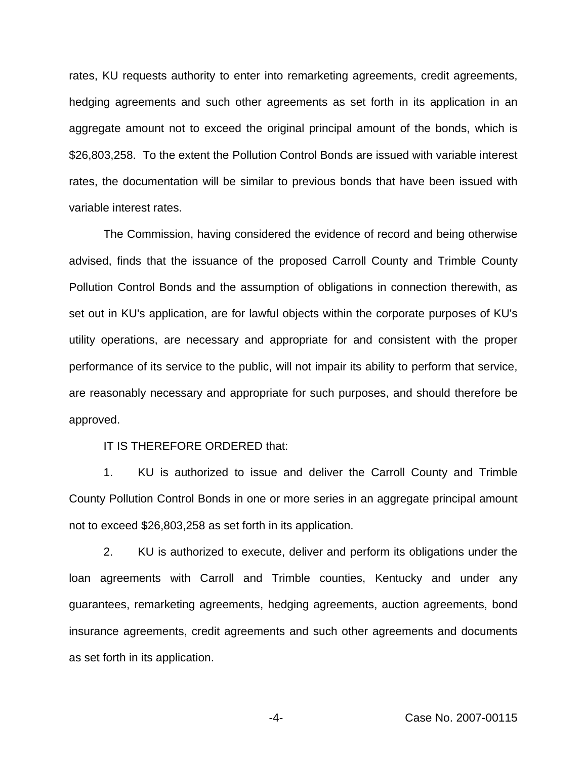rates, KU requests authority to enter into remarketing agreements, credit agreements, hedging agreements and such other agreements as set forth in its application in an aggregate amount not to exceed the original principal amount of the bonds, which is \$26,803,258. To the extent the Pollution Control Bonds are issued with variable interest rates, the documentation will be similar to previous bonds that have been issued with variable interest rates.

The Commission, having considered the evidence of record and being otherwise advised, finds that the issuance of the proposed Carroll County and Trimble County Pollution Control Bonds and the assumption of obligations in connection therewith, as set out in KU's application, are for lawful objects within the corporate purposes of KU's utility operations, are necessary and appropriate for and consistent with the proper performance of its service to the public, will not impair its ability to perform that service, are reasonably necessary and appropriate for such purposes, and should therefore be approved.

#### IT IS THEREFORE ORDERED that:

1. KU is authorized to issue and deliver the Carroll County and Trimble County Pollution Control Bonds in one or more series in an aggregate principal amount not to exceed \$26,803,258 as set forth in its application.

2. KU is authorized to execute, deliver and perform its obligations under the loan agreements with Carroll and Trimble counties, Kentucky and under any guarantees, remarketing agreements, hedging agreements, auction agreements, bond insurance agreements, credit agreements and such other agreements and documents as set forth in its application.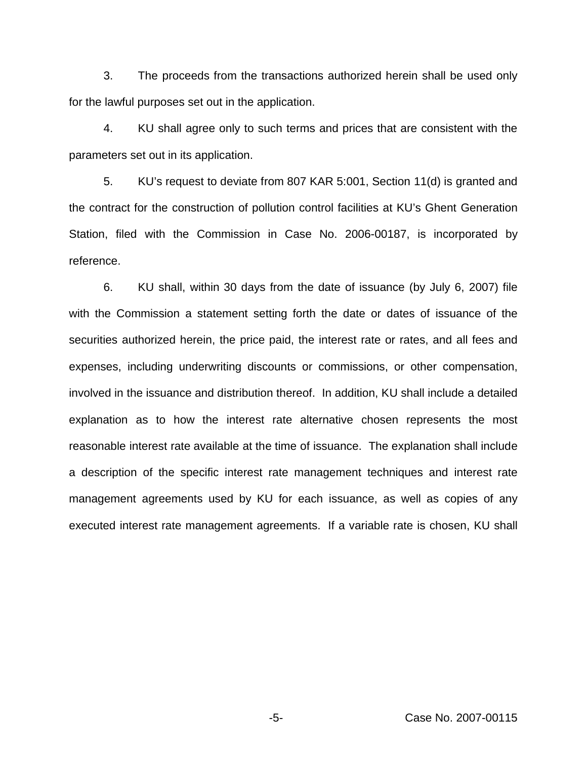3. The proceeds from the transactions authorized herein shall be used only for the lawful purposes set out in the application.

4. KU shall agree only to such terms and prices that are consistent with the parameters set out in its application.

5. KU's request to deviate from 807 KAR 5:001, Section 11(d) is granted and the contract for the construction of pollution control facilities at KU's Ghent Generation Station, filed with the Commission in Case No. 2006-00187, is incorporated by reference.

6. KU shall, within 30 days from the date of issuance (by July 6, 2007) file with the Commission a statement setting forth the date or dates of issuance of the securities authorized herein, the price paid, the interest rate or rates, and all fees and expenses, including underwriting discounts or commissions, or other compensation, involved in the issuance and distribution thereof. In addition, KU shall include a detailed explanation as to how the interest rate alternative chosen represents the most reasonable interest rate available at the time of issuance. The explanation shall include a description of the specific interest rate management techniques and interest rate management agreements used by KU for each issuance, as well as copies of any executed interest rate management agreements. If a variable rate is chosen, KU shall

-5- Case No. 2007-00115